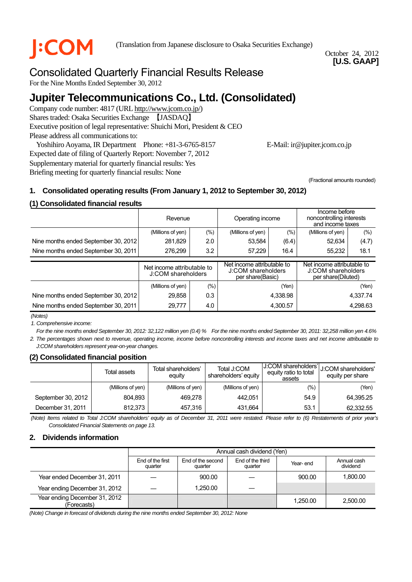**COM** (Translation from Japanese disclosure to Osaka Securities Exchange)

October 24, 2012 **[U.S. GAAP]** 

# Consolidated Quarterly Financial Results Release

For the Nine Months Ended September 30, 2012

# **Jupiter Telecommunications Co., Ltd. (Consolidated)**

Company code number: 4817 (URL http://www.jcom.co.jp/) Shares traded: Osaka Securities Exchange 【JASDAQ】 Executive position of legal representative: Shuichi Mori, President & CEO Please address all communications to:

Yoshihiro Aoyama, IR Department Phone: +81-3-6765-8157 E-Mail: ir@jupiter.jcom.co.jp

Expected date of filing of Quarterly Report: November 7, 2012 Supplementary material for quarterly financial results: Yes Briefing meeting for quarterly financial results: None

(Fractional amounts rounded)

# **1. Consolidated operating results (From January 1, 2012 to September 30, 2012)**

## **(1) Consolidated financial results**

|                                      | Revenue                                          |         | Operating income                                                     |          | Income before<br>noncontrolling interests<br>and income taxes |          |
|--------------------------------------|--------------------------------------------------|---------|----------------------------------------------------------------------|----------|---------------------------------------------------------------|----------|
|                                      | (Millions of yen)                                | $(\% )$ | $(\% )$<br>(Millions of yen)                                         |          | (Millions of yen)                                             | (%)      |
| Nine months ended September 30, 2012 | 281,829                                          | 2.0     | 53,584                                                               | (6.4)    | 52,634                                                        | (4.7)    |
| Nine months ended September 30, 2011 | 3.2<br>276.299                                   |         | 57.229<br>16.4                                                       |          | 18.1<br>55.232                                                |          |
|                                      | Net income attributable to<br>J:COM shareholders |         | Net income attributable to<br>J:COM shareholders<br>per share(Basic) |          | Net income attributable to                                    |          |
|                                      |                                                  |         |                                                                      |          | J:COM shareholders<br>per share(Diluted)                      |          |
|                                      | (Millions of yen)                                | $(\% )$ |                                                                      | (Yen)    |                                                               | (Yen)    |
| Nine months ended September 30, 2012 | 29,858                                           | 0.3     |                                                                      | 4,338.98 |                                                               | 4.337.74 |

*(Notes)* 

*1. Comprehensive income:* 

*For the nine months ended September 30, 2012: 32,122 million yen (0.4) % For the nine months ended September 30, 2011: 32,258 million yen 4.6% 2. The percentages shown next to revenue, operating income, income before noncontrolling interests and income taxes and net income attributable to J:COM shareholders represent year-on-year changes.*

# **(2) Consolidated financial position**

|                    | Total assets      | Total shareholders'<br>equity | Total J:COM<br>shareholders' equity | U:COM shareholders'l<br>equity ratio to total<br>assets | U:COM shareholders'<br>equity per share |
|--------------------|-------------------|-------------------------------|-------------------------------------|---------------------------------------------------------|-----------------------------------------|
|                    | (Millions of yen) | (Millions of yen)             | (Millions of yen)                   | (%)                                                     | (Yen)                                   |
| September 30, 2012 | 804,893           | 469.278                       | 442.051                             | 54.9                                                    | 64,395.25                               |
| December 31, 2011  | 812.373           | 457,316                       | 431.664                             | 53.1                                                    | 62,332.55                               |

*(Note) Items related to Total J:COM shareholders' equity as of December 31, 2011 were restated. Please refer to (6) Restatements of prior year's Consolidated Financial Statements on page 13.* 

#### **2. Dividends information**

|                                              |                             |                              | Annual cash dividend (Yen)  |          |                         |
|----------------------------------------------|-----------------------------|------------------------------|-----------------------------|----------|-------------------------|
|                                              | End of the first<br>quarter | End of the second<br>quarter | End of the third<br>quarter | Year-end | Annual cash<br>dividend |
| Year ended December 31, 2011                 |                             | 900.00                       |                             | 900.00   | 1.800.00                |
| Year ending December 31, 2012                |                             | 1.250.00                     |                             |          |                         |
| Year ending December 31, 2012<br>(Forecasts) |                             |                              |                             | 1.250.00 | 2.500.00                |

*(Note) Change in forecast of dividends during the nine months ended September 30, 2012: None*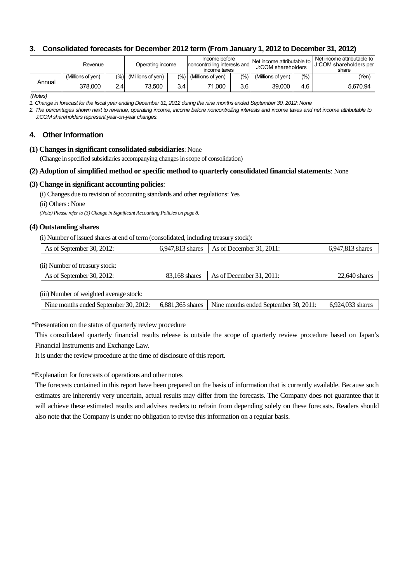### **3. Consolidated forecasts for December 2012 term (From January 1, 2012 to December 31, 2012)**

|        | Revenue           |      | Operating income         |     | Income before<br>noncontrolling interests and<br>income taxes |                  | I Net income attributable to I<br>J:COM shareholders |      | Net income attributable to<br><b>J:COM shareholders per</b><br>share |
|--------|-------------------|------|--------------------------|-----|---------------------------------------------------------------|------------------|------------------------------------------------------|------|----------------------------------------------------------------------|
|        | (Millions of ven) |      | $(\%)$ (Millions of yen) |     | $(\%)$ (Millions of yen)                                      | $(\% )$          | (Millions of ven)                                    | (% ) | (Yen                                                                 |
| Annual | 378.000           | 2.41 | 73.500                   | 3.4 | 71.000                                                        | 3.6 <sub>l</sub> | 39.000                                               | 4.6  | 5.670.94                                                             |

*(Notes)* 

*1. Change in forecast for the fiscal year ending December 31, 2012 during the nine months ended September 30, 2012: None*

*2. The percentages shown next to revenue, operating income, income before noncontrolling interests and income taxes and net income attributable to J:COM shareholders represent year-on-year changes.* 

#### **4. Other Information**

#### **(1) Changes in significant consolidated subsidiaries**: None

(Change in specified subsidiaries accompanying changes in scope of consolidation)

#### **(2) Adoption of simplified method or specific method to quarterly consolidated financial statements**: None

#### **(3) Change in significant accounting policies**:

(i) Changes due to revision of accounting standards and other regulations: Yes

(ii) Others : None

*(Note) Please refer to (3) Change in Significant Accounting Policies on page 8.*

#### **(4) Outstanding shares**

(i) Number of issued shares at end of term (consolidated, including treasury stock):

| As of September 30, 2012:      | 6,947,813 shares | As of December $31, 2011$ : | 6,947,813 shares |
|--------------------------------|------------------|-----------------------------|------------------|
| (ii) Number of treasury stock: |                  |                             |                  |
| As of September 30, 2012:      | 83.168 shares    | As of December $31, 2011$ : | 22.640 shares    |
|                                |                  |                             |                  |

(iii) Number of weighted average stock:

| Nine months ended September 30, 2012: 6,881,365 shares   Nine months ended September 30, 2011: 6,924,033 shares |
|-----------------------------------------------------------------------------------------------------------------|
|-----------------------------------------------------------------------------------------------------------------|

\*Presentation on the status of quarterly review procedure

This consolidated quarterly financial results release is outside the scope of quarterly review procedure based on Japan's Financial Instruments and Exchange Law.

It is under the review procedure at the time of disclosure of this report.

#### \*Explanation for forecasts of operations and other notes

The forecasts contained in this report have been prepared on the basis of information that is currently available. Because such estimates are inherently very uncertain, actual results may differ from the forecasts. The Company does not guarantee that it will achieve these estimated results and advises readers to refrain from depending solely on these forecasts. Readers should also note that the Company is under no obligation to revise this information on a regular basis.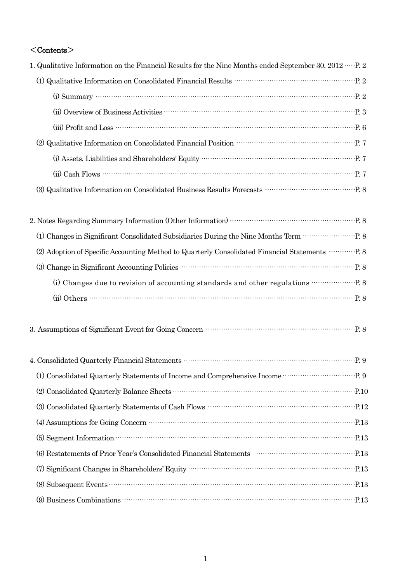# $\langle$  Contents $\rangle$

| 1. Qualitative Information on the Financial Results for the Nine Months ended September 30, 2012 ····· P. 2                                                                                                                                                                                                                                                                                        |  |
|----------------------------------------------------------------------------------------------------------------------------------------------------------------------------------------------------------------------------------------------------------------------------------------------------------------------------------------------------------------------------------------------------|--|
| $\left( 1\right)$ Qualitative Information on Consolidated Financial Results $\cdots\cdots\cdots\cdots\cdots\cdots\cdots\cdots\cdots\cdots\cdots\cdots\cdots$ P. 2                                                                                                                                                                                                                                  |  |
| (i) Summary $\cdots$ $\cdots$ $\cdots$ $\cdots$ $\cdots$ $\cdots$ $\cdots$ $\cdots$ $\cdots$ $\cdots$ $\cdots$ $\cdots$ $\cdots$ $\cdots$ $\cdots$ $\cdots$ $\cdots$ $\cdots$ $\cdots$ $\cdots$ $\cdots$ $\cdots$ $\cdots$ $\cdots$ $\cdots$ $\cdots$ $\cdots$ $\cdots$ $\cdots$ $\cdots$ $\cdots$ $\cdots$ $\cdots$ $\cdots$ $\cdots$                                                             |  |
|                                                                                                                                                                                                                                                                                                                                                                                                    |  |
|                                                                                                                                                                                                                                                                                                                                                                                                    |  |
| (2) Qualitative Information on Consolidated Financial Position $\cdots\cdots\cdots\cdots\cdots\cdots\cdots\cdots\cdots\cdots\cdots\cdots$ P. 7                                                                                                                                                                                                                                                     |  |
|                                                                                                                                                                                                                                                                                                                                                                                                    |  |
| $(ii) Cash$ Flows $\cdots$ $\cdots$ $\cdots$ $\cdots$ $\cdots$ $\cdots$ $\cdots$ $\cdots$ $\cdots$ $\cdots$ $\cdots$ $\cdots$ $\cdots$ $\cdots$ $\cdots$ $\cdots$ $\cdots$ $\cdots$ $\cdots$ $\cdots$ $\cdots$ $\cdots$ $\cdots$ $\cdots$ $\cdots$ $\cdots$ $\cdots$ $\cdots$ $\cdots$ $\cdots$ $\cdots$ $\cdots$ $\cdots$ $\cdots$ $\cdots$                                                       |  |
| $\,$ (3) Qualitative Information on Consolidated Business Results Forecasts $\,$ . $\,$ . $\,$ . $\,$ . $\,$ .                                                                                                                                                                                                                                                                                     |  |
|                                                                                                                                                                                                                                                                                                                                                                                                    |  |
|                                                                                                                                                                                                                                                                                                                                                                                                    |  |
| (2) Adoption of Specific Accounting Method to Quarterly Consolidated Financial Statements ··············· P. 8                                                                                                                                                                                                                                                                                     |  |
| (3) Change in Significant Accounting Policies<br><br>$\begin{array}{ccc}\n\text{?} & \text{?} & \text{?} \\ \text{?} & \text{?} & \text{?} \\ \text{?} & \text{?} & \text{?} \\ \text{?} & \text{?} & \text{?} \\ \text{?} & \text{?} & \text{?} \\ \text{?} & \text{?} & \text{?} \\ \text{?} & \text{?} & \text{?} \\ \text{?} & \text{?} & \text{?} \\ \text{?} & \text{?} & \text{?} \\ \text$ |  |
|                                                                                                                                                                                                                                                                                                                                                                                                    |  |
|                                                                                                                                                                                                                                                                                                                                                                                                    |  |
| 3. Assumptions of Significant Event for Going Concern manufactured and property of Significant Event for Going Concern                                                                                                                                                                                                                                                                             |  |
|                                                                                                                                                                                                                                                                                                                                                                                                    |  |
|                                                                                                                                                                                                                                                                                                                                                                                                    |  |
|                                                                                                                                                                                                                                                                                                                                                                                                    |  |
| (3) Consolidated Quarterly Statements of Cash Flows<br>$\cdots$ $\cdots$ $\cdots$ $\cdots$ $\cdots$ $\cdots$                                                                                                                                                                                                                                                                                       |  |
|                                                                                                                                                                                                                                                                                                                                                                                                    |  |
|                                                                                                                                                                                                                                                                                                                                                                                                    |  |
| (6) Restatements of Prior Year's Consolidated Financial Statements (2001) (6) Restatements (213)                                                                                                                                                                                                                                                                                                   |  |
|                                                                                                                                                                                                                                                                                                                                                                                                    |  |
|                                                                                                                                                                                                                                                                                                                                                                                                    |  |
| (9) Business Combinations <b>Commissions Commissions Commissions Commissions Commissions Commissions Commissions Commissions Commissions Commissions Commissions Commissions Commissions Commissions</b>                                                                                                                                                                                           |  |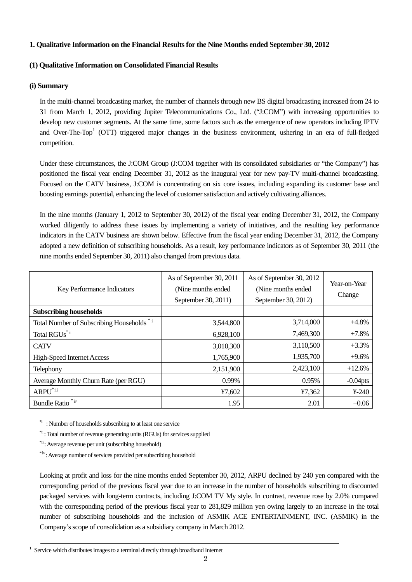#### **1. Qualitative Information on the Financial Results for the Nine Months ended September 30, 2012**

# **(1) Qualitative Information on Consolidated Financial Results**

#### **(i) Summary**

In the multi-channel broadcasting market, the number of channels through new BS digital broadcasting increased from 24 to 31 from March 1, 2012, providing Jupiter Telecommunications Co., Ltd. ("J:COM") with increasing opportunities to develop new customer segments. At the same time, some factors such as the emergence of new operators including IPTV and Over-The-Top<sup>1</sup> (OTT) triggered major changes in the business environment, ushering in an era of full-fledged competition.

Under these circumstances, the J:COM Group (J:COM together with its consolidated subsidiaries or "the Company") has positioned the fiscal year ending December 31, 2012 as the inaugural year for new pay-TV multi-channel broadcasting. Focused on the CATV business, J:COM is concentrating on six core issues, including expanding its customer base and boosting earnings potential, enhancing the level of customer satisfaction and actively cultivating alliances.

In the nine months (January 1, 2012 to September 30, 2012) of the fiscal year ending December 31, 2012, the Company worked diligently to address these issues by implementing a variety of initiatives, and the resulting key performance indicators in the CATV business are shown below. Effective from the fiscal year ending December 31, 2012, the Company adopted a new definition of subscribing households. As a result, key performance indicators as of September 30, 2011 (the nine months ended September 30, 2011) also changed from previous data.

| <b>Key Performance Indicators</b>          | As of September 30, 2011<br>(Nine months ended)<br>September 30, 2011) | As of September 30, 2012<br>(Nine months ended)<br>September 30, 2012) | Year-on-Year<br>Change |
|--------------------------------------------|------------------------------------------------------------------------|------------------------------------------------------------------------|------------------------|
| <b>Subscribing households</b>              |                                                                        |                                                                        |                        |
| Total Number of Subscribing Households *** | 3,544,800                                                              | 3,714,000                                                              | $+4.8%$                |
| Total RGUs <sup>*ii</sup>                  | 6,928,100                                                              | 7,469,300                                                              | $+7.8%$                |
| <b>CATV</b>                                | 3,010,300                                                              | 3,110,500                                                              | $+3.3%$                |
| <b>High-Speed Internet Access</b>          | 1,765,900                                                              | 1,935,700                                                              | $+9.6%$                |
| Telephony                                  | 2,151,900                                                              | 2,423,100                                                              | $+12.6%$               |
| Average Monthly Churn Rate (per RGU)       | 0.99%                                                                  | 0.95%                                                                  | $-0.04$ pts            |
| $ARPU^{\text{*iii}}$                       | ¥7,602                                                                 | ¥7,362                                                                 | $¥-240$                |
| Bundle Ratio <sup>*iv</sup>                | 1.95                                                                   | 2.01                                                                   | $+0.06$                |

<sup>\*i</sup>: Number of households subscribing to at least one service

<sup>\*ii</sup>: Total number of revenue generating units (RGUs) for services supplied

\*iii: Average revenue per unit (subscribing household)

\*ⅳ: Average number of services provided per subscribing household

Looking at profit and loss for the nine months ended September 30, 2012, ARPU declined by 240 yen compared with the corresponding period of the previous fiscal year due to an increase in the number of households subscribing to discounted packaged services with long-term contracts, including J:COM TV My style. In contrast, revenue rose by 2.0% compared with the corresponding period of the previous fiscal year to 281,829 million yen owing largely to an increase in the total number of subscribing households and the inclusion of ASMIK ACE ENTERTAINMENT, INC. (ASMIK) in the Company's scope of consolidation as a subsidiary company in March 2012.

1  $1$  Service which distributes images to a terminal directly through broadband Internet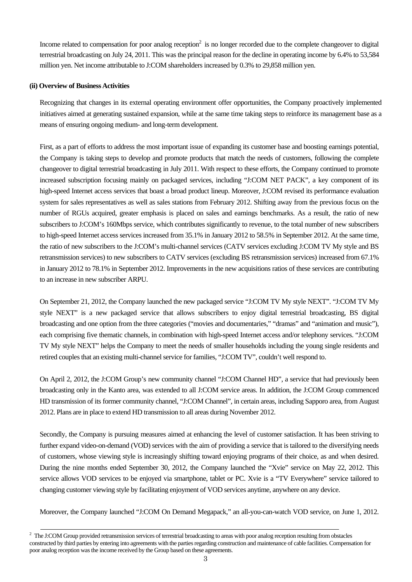Income related to compensation for poor analog reception $2$  is no longer recorded due to the complete changeover to digital terrestrial broadcasting on July 24, 2011. This was the principal reason for the decline in operating income by 6.4% to 53,584 million yen. Net income attributable to J:COM shareholders increased by 0.3% to 29,858 million yen.

#### **(ii) Overview of Business Activities**

Recognizing that changes in its external operating environment offer opportunities, the Company proactively implemented initiatives aimed at generating sustained expansion, while at the same time taking steps to reinforce its management base as a means of ensuring ongoing medium- and long-term development.

First, as a part of efforts to address the most important issue of expanding its customer base and boosting earnings potential, the Company is taking steps to develop and promote products that match the needs of customers, following the complete changeover to digital terrestrial broadcasting in July 2011. With respect to these efforts, the Company continued to promote increased subscription focusing mainly on packaged services, including "J:COM NET PACK", a key component of its high-speed Internet access services that boast a broad product lineup. Moreover, J:COM revised its performance evaluation system for sales representatives as well as sales stations from February 2012. Shifting away from the previous focus on the number of RGUs acquired, greater emphasis is placed on sales and earnings benchmarks. As a result, the ratio of new subscribers to J:COM's 160Mbps service, which contributes significantly to revenue, to the total number of new subscribers to high-speed Internet access services increased from 35.1% in January 2012 to 58.5% in September 2012. At the same time, the ratio of new subscribers to the J:COM's multi-channel services (CATV services excluding J:COM TV My style and BS retransmission services) to new subscribers to CATV services (excluding BS retransmission services) increased from 67.1% in January 2012 to 78.1% in September 2012. Improvements in the new acquisitions ratios of these services are contributing to an increase in new subscriber ARPU.

On September 21, 2012, the Company launched the new packaged service "J:COM TV My style NEXT". "J:COM TV My style NEXT" is a new packaged service that allows subscribers to enjoy digital terrestrial broadcasting, BS digital broadcasting and one option from the three categories ("movies and documentaries," "dramas" and "animation and music"), each comprising five thematic channels, in combination with high-speed Internet access and/or telephony services. "J:COM TV My style NEXT" helps the Company to meet the needs of smaller households including the young single residents and retired couples that an existing multi-channel service for families, "J:COM TV", couldn't well respond to.

On April 2, 2012, the J:COM Group's new community channel "J:COM Channel HD", a service that had previously been broadcasting only in the Kanto area, was extended to all J:COM service areas. In addition, the J:COM Group commenced HD transmission of its former community channel, "J:COM Channel", in certain areas, including Sapporo area, from August 2012. Plans are in place to extend HD transmission to all areas during November 2012.

Secondly, the Company is pursuing measures aimed at enhancing the level of customer satisfaction. It has been striving to further expand video-on-demand (VOD) services with the aim of providing a service that is tailored to the diversifying needs of customers, whose viewing style is increasingly shifting toward enjoying programs of their choice, as and when desired. During the nine months ended September 30, 2012, the Company launched the "Xvie" service on May 22, 2012. This service allows VOD services to be enjoyed via smartphone, tablet or PC. Xvie is a "TV Everywhere" service tailored to changing customer viewing style by facilitating enjoyment of VOD services anytime, anywhere on any device.

Moreover, the Company launched "J:COM On Demand Megapack," an all-you-can-watch VOD service, on June 1, 2012.

2 <sup>2</sup> The J:COM Group provided retransmission services of terrestrial broadcasting to areas with poor analog reception resulting from obstacles constructed by third parties by entering into agreements with the parties regarding construction and maintenance of cable facilities. Compensation for poor analog reception was the income received by the Group based on these agreements.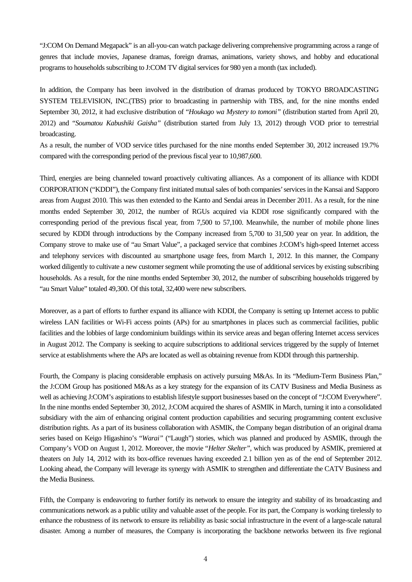"J:COM On Demand Megapack" is an all-you-can watch package delivering comprehensive programming across a range of genres that include movies, Japanese dramas, foreign dramas, animations, variety shows, and hobby and educational programs to households subscribing to J:COM TV digital services for 980 yen a month (tax included).

In addition, the Company has been involved in the distribution of dramas produced by TOKYO BROADCASTING SYSTEM TELEVISION, INC.(TBS) prior to broadcasting in partnership with TBS, and, for the nine months ended September 30, 2012, it had exclusive distribution of "*Houkago wa Mystery to tomoni"* (distribution started from April 20, 2012) and "*Soumatou Kabushiki Gaisha"* (distribution started from July 13, 2012) through VOD prior to terrestrial broadcasting.

As a result, the number of VOD service titles purchased for the nine months ended September 30, 2012 increased 19.7% compared with the corresponding period of the previous fiscal year to 10,987,600.

Third, energies are being channeled toward proactively cultivating alliances. As a component of its alliance with KDDI CORPORATION ("KDDI"), the Company first initiated mutual sales of both companies' services in the Kansai and Sapporo areas from August 2010. This was then extended to the Kanto and Sendai areas in December 2011. As a result, for the nine months ended September 30, 2012, the number of RGUs acquired via KDDI rose significantly compared with the corresponding period of the previous fiscal year, from 7,500 to 57,100. Meanwhile, the number of mobile phone lines secured by KDDI through introductions by the Company increased from 5,700 to 31,500 year on year. In addition, the Company strove to make use of "au Smart Value", a packaged service that combines J:COM's high-speed Internet access and telephony services with discounted au smartphone usage fees, from March 1, 2012. In this manner, the Company worked diligently to cultivate a new customer segment while promoting the use of additional services by existing subscribing households. As a result, for the nine months ended September 30, 2012, the number of subscribing households triggered by "au Smart Value" totaled 49,300. Of this total, 32,400 were new subscribers.

Moreover, as a part of efforts to further expand its alliance with KDDI, the Company is setting up Internet access to public wireless LAN facilities or Wi-Fi access points (APs) for au smartphones in places such as commercial facilities, public facilities and the lobbies of large condominium buildings within its service areas and began offering Internet access services in August 2012. The Company is seeking to acquire subscriptions to additional services triggered by the supply of Internet service at establishments where the APs are located as well as obtaining revenue from KDDI through this partnership.

Fourth, the Company is placing considerable emphasis on actively pursuing M&As. In its "Medium-Term Business Plan," the J:COM Group has positioned M&As as a key strategy for the expansion of its CATV Business and Media Business as well as achieving J:COM's aspirations to establish lifestyle support businesses based on the concept of "J:COM Everywhere". In the nine months ended September 30, 2012, J:COM acquired the shares of ASMIK in March, turning it into a consolidated subsidiary with the aim of enhancing original content production capabilities and securing programming content exclusive distribution rights. As a part of its business collaboration with ASMIK, the Company began distribution of an original drama series based on Keigo Higashino's "*Warai"* ("Laugh") stories, which was planned and produced by ASMIK, through the Company's VOD on August 1, 2012. Moreover, the movie "*Helter Skelter"*, which was produced by ASMIK, premiered at theaters on July 14, 2012 with its box-office revenues having exceeded 2.1 billion yen as of the end of September 2012. Looking ahead, the Company will leverage its synergy with ASMIK to strengthen and differentiate the CATV Business and the Media Business.

Fifth, the Company is endeavoring to further fortify its network to ensure the integrity and stability of its broadcasting and communications network as a public utility and valuable asset of the people. For its part, the Company is working tirelessly to enhance the robustness of its network to ensure its reliability as basic social infrastructure in the event of a large-scale natural disaster. Among a number of measures, the Company is incorporating the backbone networks between its five regional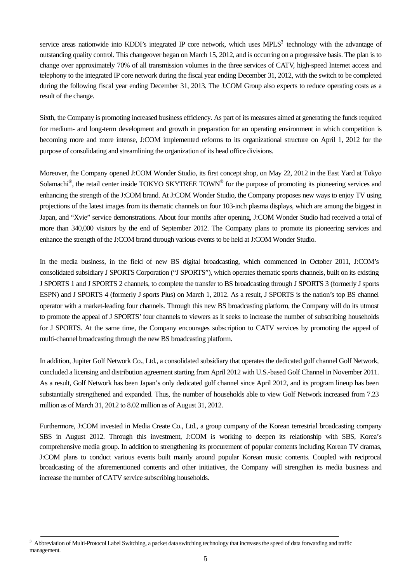service areas nationwide into KDDI's integrated IP core network, which uses  $MPLS<sup>3</sup>$  technology with the advantage of outstanding quality control. This changeover began on March 15, 2012, and is occurring on a progressive basis. The plan is to change over approximately 70% of all transmission volumes in the three services of CATV, high-speed Internet access and telephony to the integrated IP core network during the fiscal year ending December 31, 2012, with the switch to be completed during the following fiscal year ending December 31, 2013. The J:COM Group also expects to reduce operating costs as a result of the change.

Sixth, the Company is promoting increased business efficiency. As part of its measures aimed at generating the funds required for medium- and long-term development and growth in preparation for an operating environment in which competition is becoming more and more intense, J:COM implemented reforms to its organizational structure on April 1, 2012 for the purpose of consolidating and streamlining the organization of its head office divisions.

Moreover, the Company opened J:COM Wonder Studio, its first concept shop, on May 22, 2012 in the East Yard at Tokyo Solamachi<sup>®</sup>, the retail center inside TOKYO SKYTREE TOWN<sup>®</sup> for the purpose of promoting its pioneering services and enhancing the strength of the J:COM brand. At J:COM Wonder Studio, the Company proposes new ways to enjoy TV using projections of the latest images from its thematic channels on four 103-inch plasma displays, which are among the biggest in Japan, and "Xvie" service demonstrations. About four months after opening, J:COM Wonder Studio had received a total of more than 340,000 visitors by the end of September 2012. The Company plans to promote its pioneering services and enhance the strength of the J:COM brand through various events to be held at J:COM Wonder Studio.

In the media business, in the field of new BS digital broadcasting, which commenced in October 2011, J:COM's consolidated subsidiary J SPORTS Corporation ("J SPORTS"), which operates thematic sports channels, built on its existing J SPORTS 1 and J SPORTS 2 channels, to complete the transfer to BS broadcasting through J SPORTS 3 (formerly J sports ESPN) and J SPORTS 4 (formerly J sports Plus) on March 1, 2012. As a result, J SPORTS is the nation's top BS channel operator with a market-leading four channels. Through this new BS broadcasting platform, the Company will do its utmost to promote the appeal of J SPORTS' four channels to viewers as it seeks to increase the number of subscribing households for J SPORTS. At the same time, the Company encourages subscription to CATV services by promoting the appeal of multi-channel broadcasting through the new BS broadcasting platform.

In addition, Jupiter Golf Network Co., Ltd., a consolidated subsidiary that operates the dedicated golf channel Golf Network, concluded a licensing and distribution agreement starting from April 2012 with U.S.-based Golf Channel in November 2011. As a result, Golf Network has been Japan's only dedicated golf channel since April 2012, and its program lineup has been substantially strengthened and expanded. Thus, the number of households able to view Golf Network increased from 7.23 million as of March 31, 2012 to 8.02 million as of August 31, 2012.

Furthermore, J:COM invested in Media Create Co., Ltd., a group company of the Korean terrestrial broadcasting company SBS in August 2012. Through this investment, J:COM is working to deepen its relationship with SBS, Korea's comprehensive media group. In addition to strengthening its procurement of popular contents including Korean TV dramas, J:COM plans to conduct various events built mainly around popular Korean music contents. Coupled with reciprocal broadcasting of the aforementioned contents and other initiatives, the Company will strengthen its media business and increase the number of CATV service subscribing households.

3 <sup>3</sup> Abbreviation of Multi-Protocol Label Switching, a packet data switching technology that increases the speed of data forwarding and traffic management.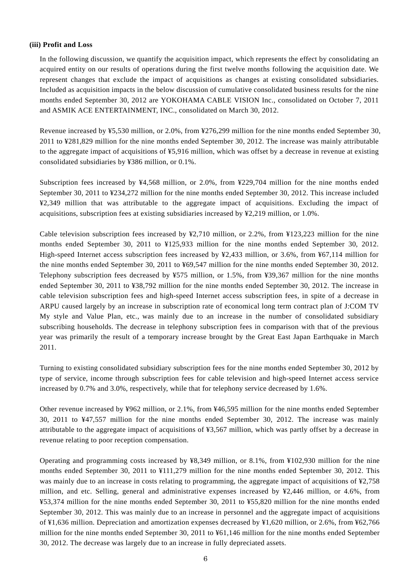#### **(iii) Profit and Loss**

In the following discussion, we quantify the acquisition impact, which represents the effect by consolidating an acquired entity on our results of operations during the first twelve months following the acquisition date. We represent changes that exclude the impact of acquisitions as changes at existing consolidated subsidiaries. Included as acquisition impacts in the below discussion of cumulative consolidated business results for the nine months ended September 30, 2012 are YOKOHAMA CABLE VISION Inc., consolidated on October 7, 2011 and ASMIK ACE ENTERTAINMENT, INC., consolidated on March 30, 2012.

Revenue increased by ¥5,530 million, or 2.0%, from ¥276,299 million for the nine months ended September 30, 2011 to ¥281,829 million for the nine months ended September 30, 2012. The increase was mainly attributable to the aggregate impact of acquisitions of ¥5,916 million, which was offset by a decrease in revenue at existing consolidated subsidiaries by ¥386 million, or 0.1%.

Subscription fees increased by ¥4,568 million, or 2.0%, from ¥229,704 million for the nine months ended September 30, 2011 to ¥234,272 million for the nine months ended September 30, 2012. This increase included ¥2,349 million that was attributable to the aggregate impact of acquisitions. Excluding the impact of acquisitions, subscription fees at existing subsidiaries increased by ¥2,219 million, or 1.0%.

Cable television subscription fees increased by ¥2,710 million, or 2.2%, from ¥123,223 million for the nine months ended September 30, 2011 to ¥125,933 million for the nine months ended September 30, 2012. High-speed Internet access subscription fees increased by ¥2,433 million, or 3.6%, from ¥67,114 million for the nine months ended September 30, 2011 to ¥69,547 million for the nine months ended September 30, 2012. Telephony subscription fees decreased by ¥575 million, or 1.5%, from ¥39,367 million for the nine months ended September 30, 2011 to ¥38,792 million for the nine months ended September 30, 2012. The increase in cable television subscription fees and high-speed Internet access subscription fees, in spite of a decrease in ARPU caused largely by an increase in subscription rate of economical long term contract plan of J:COM TV My style and Value Plan, etc., was mainly due to an increase in the number of consolidated subsidiary subscribing households. The decrease in telephony subscription fees in comparison with that of the previous year was primarily the result of a temporary increase brought by the Great East Japan Earthquake in March 2011.

Turning to existing consolidated subsidiary subscription fees for the nine months ended September 30, 2012 by type of service, income through subscription fees for cable television and high-speed Internet access service increased by 0.7% and 3.0%, respectively, while that for telephony service decreased by 1.6%.

Other revenue increased by ¥962 million, or 2.1%, from ¥46,595 million for the nine months ended September 30, 2011 to ¥47,557 million for the nine months ended September 30, 2012. The increase was mainly attributable to the aggregate impact of acquisitions of ¥3,567 million, which was partly offset by a decrease in revenue relating to poor reception compensation.

Operating and programming costs increased by ¥8,349 million, or 8.1%, from ¥102,930 million for the nine months ended September 30, 2011 to ¥111,279 million for the nine months ended September 30, 2012. This was mainly due to an increase in costs relating to programming, the aggregate impact of acquisitions of ¥2,758 million, and etc. Selling, general and administrative expenses increased by ¥2,446 million, or 4.6%, from ¥53,374 million for the nine months ended September 30, 2011 to ¥55,820 million for the nine months ended September 30, 2012. This was mainly due to an increase in personnel and the aggregate impact of acquisitions of ¥1,636 million. Depreciation and amortization expenses decreased by ¥1,620 million, or 2.6%, from ¥62,766 million for the nine months ended September 30, 2011 to ¥61,146 million for the nine months ended September 30, 2012. The decrease was largely due to an increase in fully depreciated assets.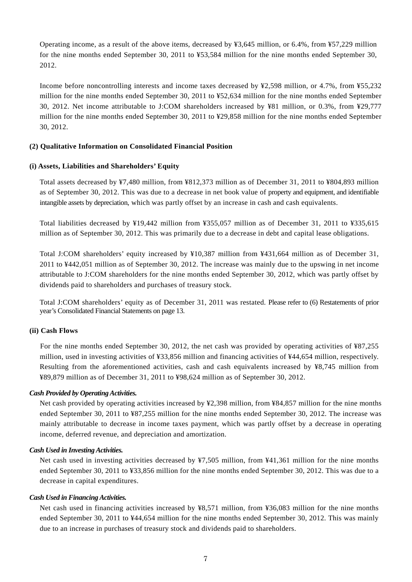Operating income, as a result of the above items, decreased by ¥3,645 million, or 6.4%, from ¥57,229 million for the nine months ended September 30, 2011 to ¥53,584 million for the nine months ended September 30, 2012.

Income before noncontrolling interests and income taxes decreased by ¥2,598 million, or 4.7%, from ¥55,232 million for the nine months ended September 30, 2011 to ¥52,634 million for the nine months ended September 30, 2012. Net income attributable to J:COM shareholders increased by ¥81 million, or 0.3%, from ¥29,777 million for the nine months ended September 30, 2011 to ¥29,858 million for the nine months ended September 30, 2012.

#### **(2) Qualitative Information on Consolidated Financial Position**

#### **(i) Assets, Liabilities and Shareholders' Equity**

Total assets decreased by ¥7,480 million, from ¥812,373 million as of December 31, 2011 to ¥804,893 million as of September 30, 2012. This was due to a decrease in net book value of property and equipment, and identifiable intangible assets by depreciation, which was partly offset by an increase in cash and cash equivalents.

Total liabilities decreased by ¥19,442 million from ¥355,057 million as of December 31, 2011 to ¥335,615 million as of September 30, 2012. This was primarily due to a decrease in debt and capital lease obligations.

Total J:COM shareholders' equity increased by ¥10,387 million from ¥431,664 million as of December 31, 2011 to ¥442,051 million as of September 30, 2012. The increase was mainly due to the upswing in net income attributable to J:COM shareholders for the nine months ended September 30, 2012, which was partly offset by dividends paid to shareholders and purchases of treasury stock.

Total J:COM shareholders' equity as of December 31, 2011 was restated. Please refer to (6) Restatements of prior year's Consolidated Financial Statements on page 13.

#### **(ii) Cash Flows**

For the nine months ended September 30, 2012, the net cash was provided by operating activities of ¥87,255 million, used in investing activities of ¥33,856 million and financing activities of ¥44,654 million, respectively. Resulting from the aforementioned activities, cash and cash equivalents increased by ¥8,745 million from ¥89,879 million as of December 31, 2011 to ¥98,624 million as of September 30, 2012.

#### *Cash Provided by Operating Activities.*

Net cash provided by operating activities increased by ¥2,398 million, from ¥84,857 million for the nine months ended September 30, 2011 to ¥87,255 million for the nine months ended September 30, 2012. The increase was mainly attributable to decrease in income taxes payment, which was partly offset by a decrease in operating income, deferred revenue, and depreciation and amortization.

#### *Cash Used in Investing Activities.*

Net cash used in investing activities decreased by ¥7,505 million, from ¥41,361 million for the nine months ended September 30, 2011 to ¥33,856 million for the nine months ended September 30, 2012. This was due to a decrease in capital expenditures.

#### *Cash Used in Financing Activities.*

Net cash used in financing activities increased by ¥8,571 million, from ¥36,083 million for the nine months ended September 30, 2011 to ¥44,654 million for the nine months ended September 30, 2012. This was mainly due to an increase in purchases of treasury stock and dividends paid to shareholders.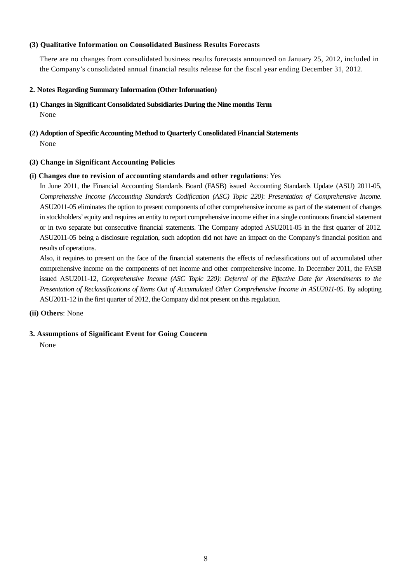#### **(3) Qualitative Information on Consolidated Business Results Forecasts**

There are no changes from consolidated business results forecasts announced on January 25, 2012, included in the Company's consolidated annual financial results release for the fiscal year ending December 31, 2012.

#### **2. Notes Regarding Summary Information (Other Information)**

- **(1) Changes in Significant Consolidated Subsidiaries During the Nine months Term** None
- **(2) Adoption of Specific Accounting Method to Quarterly Consolidated Financial Statements**  None

#### **(3) Change in Significant Accounting Policies**

#### **(i) Changes due to revision of accounting standards and other regulations**: Yes

In June 2011, the Financial Accounting Standards Board (FASB) issued Accounting Standards Update (ASU) 2011-05, *Comprehensive Income (Accounting Standards Codification (ASC) Topic 220)*: *Presentation of Comprehensive Income*. ASU2011-05 eliminates the option to present components of other comprehensive income as part of the statement of changes in stockholders' equity and requires an entity to report comprehensive income either in a single continuous financial statement or in two separate but consecutive financial statements. The Company adopted ASU2011-05 in the first quarter of 2012. ASU2011-05 being a disclosure regulation, such adoption did not have an impact on the Company's financial position and results of operations.

Also, it requires to present on the face of the financial statements the effects of reclassifications out of accumulated other comprehensive income on the components of net income and other comprehensive income. In December 2011, the FASB issued ASU2011-12, *Comprehensive Income (ASC Topic 220)*: *Deferral of the Effective Date for Amendments to the Presentation of Reclassifications of Items Out of Accumulated Other Comprehensive Income in ASU2011-05*. By adopting ASU2011-12 in the first quarter of 2012, the Company did not present on this regulation.

#### **(ii) Others**: None

#### **3. Assumptions of Significant Event for Going Concern**

None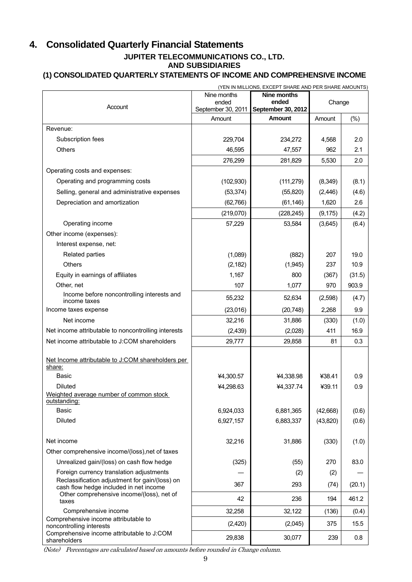# **4. Consolidated Quarterly Financial Statements JUPITER TELECOMMUNICATIONS CO., LTD. AND SUBSIDIARIES**

# **(1) CONSOLIDATED QUARTERLY STATEMENTS OF INCOME AND COMPREHENSIVE INCOME**

| (YEN IN MILLIONS, EXCEPT SHARE AND PER SHARE AMOUNTS)                                    |                             |                             |           |         |  |
|------------------------------------------------------------------------------------------|-----------------------------|-----------------------------|-----------|---------|--|
|                                                                                          | Nine months                 | Nine months                 |           |         |  |
| Account                                                                                  | ended<br>September 30, 2011 | ended<br>September 30, 2012 | Change    |         |  |
|                                                                                          | Amount                      | <b>Amount</b>               | Amount    | (%)     |  |
| Revenue:                                                                                 |                             |                             |           |         |  |
| Subscription fees                                                                        | 229,704                     | 234,272                     | 4,568     | 2.0     |  |
| <b>Others</b>                                                                            | 46,595                      | 47,557                      | 962       | 2.1     |  |
|                                                                                          | 276,299                     | 281,829                     | 5,530     | 2.0     |  |
| Operating costs and expenses:                                                            |                             |                             |           |         |  |
| Operating and programming costs                                                          | (102, 930)                  | (111, 279)                  | (8,349)   | (8.1)   |  |
| Selling, general and administrative expenses                                             | (53, 374)                   | (55, 820)                   | (2, 446)  | (4.6)   |  |
| Depreciation and amortization                                                            | (62,766)                    | (61, 146)                   | 1,620     | $2.6\,$ |  |
|                                                                                          |                             |                             |           |         |  |
|                                                                                          | (219,070)                   | (228, 245)                  | (9, 175)  | (4.2)   |  |
| Operating income                                                                         | 57,229                      | 53,584                      | (3,645)   | (6.4)   |  |
| Other income (expenses):                                                                 |                             |                             |           |         |  |
| Interest expense, net:                                                                   |                             |                             |           |         |  |
| Related parties                                                                          | (1,089)                     | (882)                       | 207       | 19.0    |  |
| <b>Others</b>                                                                            | (2, 182)                    | (1,945)                     | 237       | 10.9    |  |
| Equity in earnings of affiliates                                                         | 1,167                       | 800                         | (367)     | (31.5)  |  |
| Other, net                                                                               | 107                         | 1,077                       | 970       | 903.9   |  |
| Income before noncontrolling interests and<br>income taxes                               | 55,232                      | 52,634                      | (2,598)   | (4.7)   |  |
| Income taxes expense                                                                     | (23,016)                    | (20, 748)                   | 2,268     | 9.9     |  |
| Net income                                                                               | 32,216                      | 31,886                      | (330)     | (1.0)   |  |
| Net income attributable to noncontrolling interests                                      | (2, 439)                    | (2,028)                     | 411       | 16.9    |  |
| Net income attributable to J:COM shareholders                                            | 29,777                      | 29,858                      | 81        | 0.3     |  |
| Net Income attributable to J:COM shareholders per<br>share:                              |                             |                             |           |         |  |
| <b>Basic</b>                                                                             | ¥4,300.57                   | ¥4,338.98                   | ¥38.41    | 0.9     |  |
| <b>Diluted</b>                                                                           | ¥4,298.63                   | ¥4,337.74                   | ¥39.11    | 0.9     |  |
| Weighted average number of common stock<br>outstanding:                                  |                             |                             |           |         |  |
| <b>Basic</b>                                                                             | 6,924,033                   | 6,881,365                   | (42, 668) | (0.6)   |  |
| <b>Diluted</b>                                                                           | 6,927,157                   | 6,883,337                   | (43, 820) | (0.6)   |  |
|                                                                                          |                             |                             |           |         |  |
| Net income                                                                               | 32,216                      | 31,886                      | (330)     | (1.0)   |  |
| Other comprehensive income/(loss), net of taxes                                          |                             |                             |           |         |  |
| Unrealized gain/(loss) on cash flow hedge                                                | (325)                       | (55)                        | 270       | 83.0    |  |
| Foreign currency translation adjustments                                                 |                             | (2)                         | (2)       |         |  |
| Reclassification adjustment for gain/(loss) on<br>cash flow hedge included in net income | 367                         | 293                         | (74)      | (20.1)  |  |
| Other comprehensive income/(loss), net of<br>taxes                                       | 42                          | 236                         | 194       | 461.2   |  |
| Comprehensive income                                                                     | 32,258                      | 32,122                      | (136)     | (0.4)   |  |
| Comprehensive income attributable to<br>noncontrolling interests                         | (2,420)                     | (2,045)                     | 375       | 15.5    |  |
| Comprehensive income attributable to J:COM<br>shareholders                               | 29,838                      | 30,077                      | 239       | 0.8     |  |

(Note) Percentages are calculated based on amounts before rounded in Change column.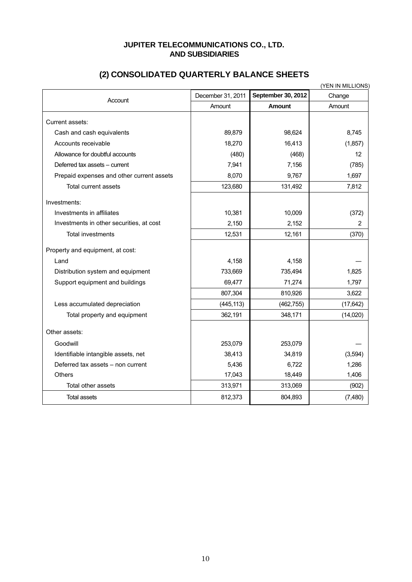## **JUPITER TELECOMMUNICATIONS CO., LTD. AND SUBSIDIARIES**

|                                           |                   |                    | (YEN IN MILLIONS) |
|-------------------------------------------|-------------------|--------------------|-------------------|
| Account                                   | December 31, 2011 | September 30, 2012 | Change            |
|                                           | Amount            | <b>Amount</b>      | Amount            |
| Current assets:                           |                   |                    |                   |
| Cash and cash equivalents                 | 89,879            | 98,624             | 8,745             |
| Accounts receivable                       | 18,270            | 16,413             | (1,857)           |
| Allowance for doubtful accounts           | (480)             | (468)              | 12                |
| Deferred tax assets - current             | 7,941             | 7,156              | (785)             |
| Prepaid expenses and other current assets | 8,070             | 9,767              | 1,697             |
| Total current assets                      | 123,680           | 131,492            | 7,812             |
| Investments:                              |                   |                    |                   |
| Investments in affiliates                 | 10,381            | 10,009             | (372)             |
| Investments in other securities, at cost  | 2,150             | 2,152              | 2                 |
| <b>Total investments</b>                  | 12,531            | 12,161             | (370)             |
| Property and equipment, at cost:          |                   |                    |                   |
| Land                                      | 4,158             | 4,158              |                   |
| Distribution system and equipment         | 733,669           | 735,494            | 1,825             |
| Support equipment and buildings           | 69,477            | 71,274             | 1,797             |
|                                           | 807,304           | 810,926            | 3,622             |
| Less accumulated depreciation             | (445, 113)        | (462, 755)         | (17, 642)         |
| Total property and equipment              | 362,191           | 348,171            | (14,020)          |
| Other assets:                             |                   |                    |                   |
| Goodwill                                  | 253,079           | 253,079            |                   |
| Identifiable intangible assets, net       | 38,413            | 34,819             | (3,594)           |
| Deferred tax assets - non current         | 5,436             | 6,722              | 1,286             |
| <b>Others</b>                             | 17,043            | 18,449             | 1,406             |
| Total other assets                        | 313,971           | 313,069            | (902)             |
| <b>Total assets</b>                       | 812,373           | 804,893            | (7,480)           |

# **(2) CONSOLIDATED QUARTERLY BALANCE SHEETS**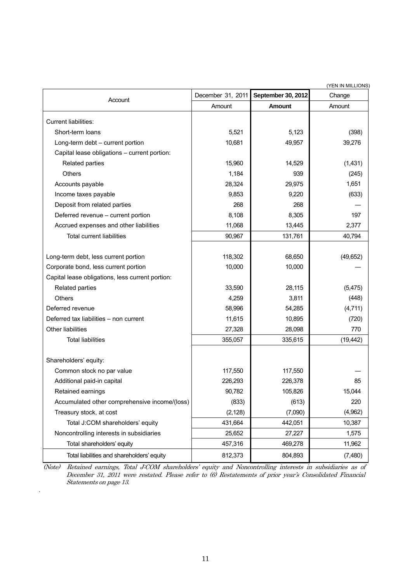|                                                  |                   |                    | (YEN IN MILLIONS) |
|--------------------------------------------------|-------------------|--------------------|-------------------|
| Account                                          | December 31, 2011 | September 30, 2012 | Change            |
|                                                  | Amount            | Amount             | Amount            |
| Current liabilities:                             |                   |                    |                   |
| Short-term loans                                 | 5,521             | 5,123              | (398)             |
| Long-term debt - current portion                 | 10,681            | 49,957             | 39,276            |
| Capital lease obligations - current portion:     |                   |                    |                   |
| Related parties                                  | 15,960            | 14,529             | (1,431)           |
| <b>Others</b>                                    | 1,184             | 939                | (245)             |
| Accounts payable                                 | 28,324            | 29,975             | 1,651             |
| Income taxes payable                             | 9,853             | 9,220              | (633)             |
| Deposit from related parties                     | 268               | 268                |                   |
| Deferred revenue - current portion               | 8,108             | 8,305              | 197               |
| Accrued expenses and other liabilities           | 11,068            | 13,445             | 2,377             |
| <b>Total current liabilities</b>                 | 90,967            | 131,761            | 40,794            |
|                                                  |                   |                    |                   |
| Long-term debt, less current portion             | 118,302           | 68,650             | (49, 652)         |
| Corporate bond, less current portion             | 10,000            | 10,000             |                   |
| Capital lease obligations, less current portion: |                   |                    |                   |
| Related parties                                  | 33,590            | 28,115             | (5, 475)          |
| Others                                           | 4,259             | 3,811              | (448)             |
| Deferred revenue                                 | 58,996            | 54,285             | (4,711)           |
| Deferred tax liabilities - non current           | 11,615            | 10,895             | (720)             |
| Other liabilities                                | 27,328            | 28,098             | 770               |
| <b>Total liabilities</b>                         | 355,057           | 335,615            | (19, 442)         |
|                                                  |                   |                    |                   |
| Shareholders' equity:                            |                   |                    |                   |
| Common stock no par value                        | 117,550           | 117,550            |                   |
| Additional paid-in capital                       | 226,293           | 226,378            | 85                |
| Retained earnings                                | 90,782            | 105,826            | 15,044            |
| Accumulated other comprehensive income/(loss)    | (833)             | (613)              | 220               |
| Treasury stock, at cost                          | (2, 128)          | (7,090)            | (4,962)           |
| Total J:COM shareholders' equity                 | 431,664           | 442,051            | 10,387            |
| Noncontrolling interests in subsidiaries         | 25,652            | 27,227             | 1,575             |
| Total shareholders' equity                       | 457,316           | 469,278            | 11,962            |
| Total liabilities and shareholders' equity       | 812,373           | 804,893            | (7,480)           |

(Note) Retained earnings, Total J:COM shareholders' equity and Noncontrolling interests in subsidiaries as of December 31, 2011 were restated. Please refer to (6) Restatements of prior year's Consolidated Financial Statements on page 13.

.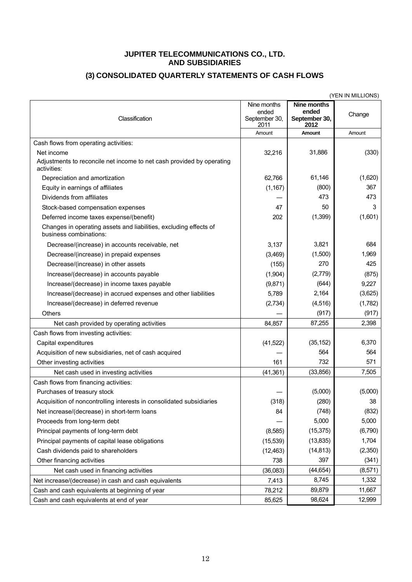#### **JUPITER TELECOMMUNICATIONS CO., LTD. AND SUBSIDIARIES**

# **(3) CONSOLIDATED QUARTERLY STATEMENTS OF CASH FLOWS**

|                                                                                                    |                                               |                                                      | (YEN IN MILLIONS) |
|----------------------------------------------------------------------------------------------------|-----------------------------------------------|------------------------------------------------------|-------------------|
| Classification                                                                                     | Nine months<br>ended<br>September 30,<br>2011 | <b>Nine months</b><br>ended<br>September 30,<br>2012 | Change            |
|                                                                                                    | Amount                                        | Amount                                               | Amount            |
| Cash flows from operating activities:                                                              |                                               |                                                      |                   |
| Net income<br>Adjustments to reconcile net income to net cash provided by operating<br>activities: | 32,216                                        | 31,886                                               | (330)             |
| Depreciation and amortization                                                                      | 62,766                                        | 61,146                                               | (1,620)           |
| Equity in earnings of affiliates                                                                   | (1, 167)                                      | (800)                                                | 367               |
| Dividends from affiliates                                                                          |                                               | 473                                                  | 473               |
| Stock-based compensation expenses                                                                  | 47                                            | 50                                                   | 3                 |
| Deferred income taxes expense/(benefit)                                                            | 202                                           | (1, 399)                                             | (1,601)           |
| Changes in operating assets and liabilities, excluding effects of<br>business combinations:        |                                               |                                                      |                   |
| Decrease/(increase) in accounts receivable, net                                                    | 3,137                                         | 3,821                                                | 684               |
| Decrease/(increase) in prepaid expenses                                                            | (3,469)                                       | (1,500)                                              | 1,969             |
| Decrease/(increase) in other assets                                                                | (155)                                         | 270                                                  | 425               |
| Increase/(decrease) in accounts payable                                                            | (1,904)                                       | (2,779)                                              | (875)             |
| Increase/(decrease) in income taxes payable                                                        | (9,871)                                       | (644)                                                | 9,227             |
| Increase/(decrease) in accrued expenses and other liabilities                                      | 5,789                                         | 2,164                                                | (3,625)           |
| Increase/(decrease) in deferred revenue                                                            | (2,734)                                       | (4,516)                                              | (1,782)           |
| Others                                                                                             |                                               | (917)                                                | (917)             |
| Net cash provided by operating activities                                                          | 84,857                                        | 87,255                                               | 2,398             |
| Cash flows from investing activities:                                                              |                                               |                                                      |                   |
| Capital expenditures                                                                               | (41, 522)                                     | (35, 152)                                            | 6,370             |
| Acquisition of new subsidiaries, net of cash acquired                                              |                                               | 564                                                  | 564               |
| Other investing activities                                                                         | 161                                           | 732                                                  | 571               |
| Net cash used in investing activities                                                              | (41, 361)                                     | (33, 856)                                            | 7,505             |
| Cash flows from financing activities:                                                              |                                               |                                                      |                   |
| Purchases of treasury stock                                                                        |                                               | (5,000)                                              | (5,000)           |
| Acquisition of noncontrolling interests in consolidated subsidiaries                               | (318)                                         | (280)                                                | 38                |
| Net increase/(decrease) in short-term loans                                                        | 84                                            | (748)                                                | (832)             |
| Proceeds from long-term debt                                                                       |                                               | 5,000                                                | 5,000             |
| Principal payments of long-term debt                                                               | (8,585)                                       | (15, 375)                                            | (6,790)           |
| Principal payments of capital lease obligations                                                    | (15, 539)                                     | (13, 835)                                            | 1,704             |
| Cash dividends paid to shareholders                                                                | (12, 463)                                     | (14, 813)                                            | (2,350)           |
| Other financing activities                                                                         | 738                                           | 397                                                  | (341)             |
| Net cash used in financing activities                                                              | (36,083)                                      | (44, 654)                                            | (8,571)           |
| Net increase/(decrease) in cash and cash equivalents                                               | 7,413                                         | 8,745                                                | 1,332             |
| Cash and cash equivalents at beginning of year                                                     | 78,212                                        | 89,879                                               | 11,667            |
| Cash and cash equivalents at end of year                                                           | 85,625                                        | 98,624                                               | 12,999            |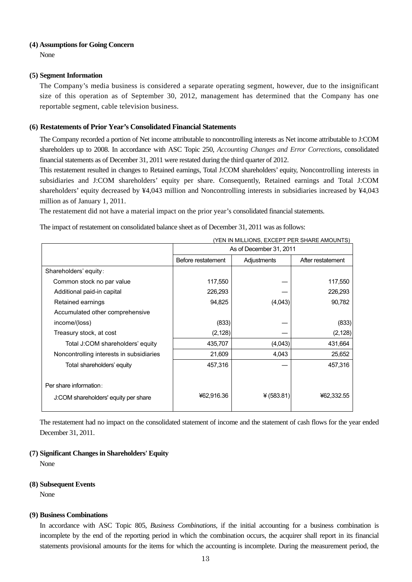#### **(4) Assumptions for Going Concern**

None

#### **(5) Segment Information**

The Company's media business is considered a separate operating segment, however, due to the insignificant size of this operation as of September 30, 2012, management has determined that the Company has one reportable segment, cable television business.

#### **(6) Restatements of Prior Year's Consolidated Financial Statements**

The Company recorded a portion of Net income attributable to noncontrolling interests as Net income attributable to J:COM shareholders up to 2008. In accordance with ASC Topic 250, *Accounting Changes and Error Corrections*, consolidated financial statements as of December 31, 2011 were restated during the third quarter of 2012.

This restatement resulted in changes to Retained earnings, Total J:COM shareholders' equity, Noncontrolling interests in subsidiaries and J:COM shareholders' equity per share. Consequently, Retained earnings and Total J:COM shareholders' equity decreased by ¥4,043 million and Noncontrolling interests in subsidiaries increased by ¥4,043 million as of January 1, 2011.

The restatement did not have a material impact on the prior year's consolidated financial statements.

The impact of restatement on consolidated balance sheet as of December 31, 2011 was as follows:

|                                          | (YEN IN MILLIONS, EXCEPT PER SHARE AMOUNTS) |              |                   |
|------------------------------------------|---------------------------------------------|--------------|-------------------|
|                                          | As of December 31, 2011                     |              |                   |
|                                          | Before restatement                          | Adjustments  | After restatement |
| Shareholders' equity:                    |                                             |              |                   |
| Common stock no par value                | 117,550                                     |              | 117,550           |
| Additional paid-in capital               | 226,293                                     |              | 226,293           |
| Retained earnings                        | 94,825                                      | (4,043)      | 90,782            |
| Accumulated other comprehensive          |                                             |              |                   |
| income/(loss)                            | (833)                                       |              | (833)             |
| Treasury stock, at cost                  | (2, 128)                                    |              | (2, 128)          |
| Total J:COM shareholders' equity         | 435,707                                     | (4,043)      | 431,664           |
| Noncontrolling interests in subsidiaries | 21,609                                      | 4,043        | 25,652            |
| Total shareholders' equity               | 457,316                                     |              | 457,316           |
| Per share information:                   |                                             |              |                   |
| J:COM shareholders' equity per share     | ¥62,916.36                                  | ¥ $(583.81)$ | ¥62,332.55        |

The restatement had no impact on the consolidated statement of income and the statement of cash flows for the year ended December 31, 2011.

#### **(7) Significant Changes in Shareholders' Equity**

None

#### **(8) Subsequent Events**

None

#### **(9) Business Combinations**

In accordance with ASC Topic 805, *Business Combinations,* if the initial accounting for a business combination is incomplete by the end of the reporting period in which the combination occurs, the acquirer shall report in its financial statements provisional amounts for the items for which the accounting is incomplete. During the measurement period, the